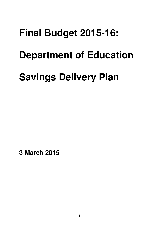# **Final Budget 2015-16: Department of Education**

# **Savings Delivery Plan**

 **3 March 2015**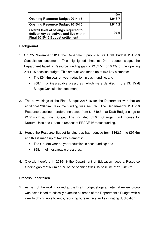|                                                                                                                   | £m      |
|-------------------------------------------------------------------------------------------------------------------|---------|
| <b>Opening Resource Budget 2014-15</b>                                                                            | 1,943.7 |
| <b>Opening Resource Budget 2015-16</b>                                                                            | 1,914.2 |
| Overall level of savings required to<br>deliver key objectives and live within<br>Final 2015-16 Budget settlement | 97.6    |

#### **Background**

- 1. On 25 November 2014 the Department published its Draft Budget 2015-16 Consultation document. This highlighted that, at Draft budget stage, the Department faced a Resource funding gap of £162.5m or 8.4% of the opening 2014-15 baseline budget. This amount was made up of two key elements:
	- The £94.4m year on year reduction in cash funding; and
	- • £68.1m of inescapable pressures (which were detailed in the DE Draft Budget Consultation document).
- 2. The outworkings of the Final Budget 2015-16 for the Department was that an additional £64.9m Resource funding was secured. The Department's 2015-16 Resource baseline therefore increased from £1,849.3m at Draft Budget stage to £1,914.2m at Final Budget. This included £1.6m Change Fund monies for Nurture Units and £0.3m in respect of PEACE IV match funding.
- 3. Hence the Resource Budget funding gap has reduced from £162.5m to £97.6m and this is made up of two key elements:
	- The £29.5m year on year reduction in cash funding; and
	- £68.1m of inescapable pressures.
- 4. Overall, therefore in 2015-16 the Department of Education faces a Resource funding gap of £97.6m or 5% of the opening 2014-15 baseline of £1,943.7m.

# **Process undertaken**

5. As part of the work involved at the Draft Budget stage an internal review group was established to critically examine all areas of the Department's Budget with a view to driving up efficiency, reducing bureaucracy and eliminating duplication.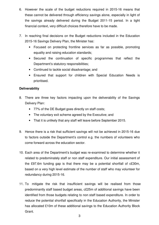- 6. However the scale of the budget reductions required in 2015-16 means that these cannot be delivered through efficiency savings alone, especially in light of the savings already delivered during the Budget 2011-15 period. In a tight financial context, very difficult choices therefore have to be made.
- 7. In reaching final decisions on the Budget reductions included in the Education 2015-16 Savings Delivery Plan, the Minister has:
	- $\bullet$  equality and raising education standards; Focused on protecting frontline services as far as possible, promoting
	- • Secured the continuation of specific programmes that reflect the Department's statutory responsibilities;
	- • Continued to tackle social disadvantage; and
	- • Ensured that support for children with Special Education Needs is prioritised.

# **Deliverability**

- 8. There are three key factors impacting upon the deliverability of the Savings Delivery Plan:
	- • 77% of the DE Budget goes directly on staff costs;
	- The voluntary exit scheme agreed by the Executive; and
	- That it is unlikely that any staff will leave before September 2015.
- 9. Hence there is a risk that sufficient savings will not be achieved in 2015-16 due to factors outside the Department's control e.g. the numbers of volunteers who come forward across the education sector.
- 10. Each area of the Department's budget was re-examined to determine whether it related to predominately staff or non staff expenditure. Our initial assessment of the £97.6m funding gap is that there may be a potential shortfall of c£30m, based on a very high level estimate of the number of staff who may volunteer for redundancy during 2015-16.
- 11. To mitigate the risk that insufficient savings will be realised from those predominantly staff based budget areas, c£25m of additional savings have been identified from those budgets relating to non staff based expenditure. In order to reduce the potential shortfall specifically in the Education Authority, the Minister has allocated £10m of these additional savings to the Education Authority Block Grant.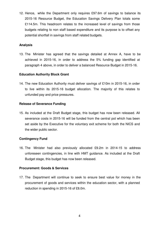12. Hence, while the Department only requires £97.6m of savings to balance its 2015-16 Resource Budget, the Education Savings Delivery Plan totals some £114.5m. This headroom relates to the increased level of savings from those budgets relating to non staff based expenditure and its purpose is to offset any potential shortfall in savings from staff related budgets.

#### **Analysis**

13. The Minister has agreed that the savings detailed at Annex A, have to be achieved in 2015-16, in order to address the 5% funding gap identified at paragraph 4 above, in order to deliver a balanced Resource Budget in 2015-16.

#### **Education Authority Block Grant**

 14. The new Education Authority must deliver savings of £10m in 2015-16, in order to live within its 2015-16 budget allocation. The majority of this relates to unfunded pay and price pressures.

#### **Release of Severance Funding**

 15. As included at the Draft Budget stage, this budget has now been released. All severance costs in 2015-16 will be funded from the central pot which has been set aside by the Executive for the voluntary exit scheme for both the NICS and the wider public sector.

# **Contingency Fund**

16. The Minister had also previously allocated £9.2m in 2014-15 to address unforeseen contingencies, in line with HMT guidance. As included at the Draft Budget stage, this budget has now been released.

#### **Procurement: Goods & Services**

17. The Department will continue to seek to ensure best value for money in the procurement of goods and services within the education sector, with a planned reduction in spending in 2015-16 of £8.0m.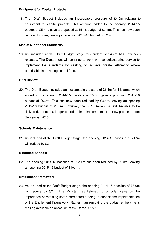#### **Equipment for Capital Projects**

18. The Draft Budget included an inescapable pressure of £4.0m relating to equipment for capital projects. This amount, added to the opening 2014-15 budget of £5.4m, gave a proposed 2015-16 budget of £9.4m. This has now been reduced by £7m, leaving an opening 2015-16 budget of £2.4m.

#### **Meals: Nutritional Standards**

19. As included at the Draft Budget stage this budget of £4.7m has now been released. The Department will continue to work with schools/catering service to implement the standards by seeking to achieve greater efficiency where practicable in providing school food.

#### **SEN Review**

 20. The Draft Budget included an inescapable pressure of £1.4m for this area, which added to the opening 2014-15 baseline of £5.5m gave a proposed 2015-16 budget of £6.9m. This has now been reduced by £3.4m, leaving an opening 2015-16 budget of £3.5m. However, the SEN Review will still be able to be delivered, but over a longer period of time; implementation is now proposed from September 2016.

# **Schools Maintenance**

 21. As included at the Draft Budget stage, the opening 2014-15 baseline of £17m will reduce by £3m.

# **Extended Schools**

 22. The opening 2014-15 baseline of £12.1m has been reduced by £2.0m, leaving an opening 2015-16 budget of £10.1m.

#### **Entitlement Framework**

 23. As included at the Draft Budget stage, the opening 2014-15 baseline of £6.9m will reduce by £2m. The Minister has listened to schools' views on the importance of retaining some earmarked funding to support the implementation of the Entitlement Framework. Rather than removing the budget entirely he is making available an allocation of £4.9m for 2015-16.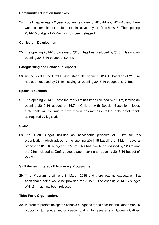#### **Community Education Initiatives**

 24. This Initiative was a 2 year programme covering 2013-14 and 2014-15 and there was no commitment to fund the Initiative beyond March 2015. The opening 2014-15 budget of £2.0m has now been released.

#### **Curriculum Development**

 25. The opening 2014-15 baseline of £2.0m has been reduced by £1.6m, leaving an opening 2015-16 budget of £0.4m.

#### **Safeguarding and Behaviour Support**

 26. As included at the Draft Budget stage, the opening 2014-15 baseline of £13.5m has been reduced by £1.4m, leaving an opening 2015-16 budget of £12.1m.

# **Special Education**

 27. The opening 2014-15 baseline of £6.1m has been reduced by £1.4m, leaving an opening 2015-16 budget of £4.7m. Children with Special Education Needs statements will continue to have their needs met as detailed in their statement, as required by legislation.

# **CCEA**

28. The Draft Budget included an inescapable pressure of £3.2m for this organisation, which added to the opening 2014-15 baseline of £22.1m gave a proposed 2015-16 budget of £25.3m. This has now been reduced by £2.4m (not the £3m included at Draft budget stage), leaving an opening 2015-16 budget of £22.9m.

#### **SEN Review: Literacy & Numeracy Programme**

29. This Programme will end in March 2015 and there was no expectation that additional funding would be provided for 2015-16.The opening 2014-15 budget of £1.5m has now been released.

# **Third Party Organisations**

 30. In order to protect delegated schools budget as far as possible the Department is proposing to reduce and/or cease funding for several standalone initiatives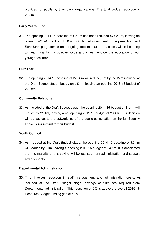provided for pupils by third party organisations. The total budget reduction is £0.8m.

# **Early Years Fund**

 31. The opening 2014-15 baseline of £2.9m has been reduced by £2.0m, leaving an opening 2015-16 budget of £0.9m. Continued investment in the pre-school and Sure Start programmes and ongoing implementation of actions within Learning to Learn maintain a positive focus and investment on the education of our younger children.

# **Sure Start**

 32. The opening 2014-15 baseline of £23.8m will reduce, not by the £2m included at the Draft Budget stage , but by only £1m, leaving an opening 2015-16 budget of £22.8m.

# **Community Relations**

 33. As included at the Draft Budget stage, the opening 2014-15 budget of £1.4m will reduce by £1.1m, leaving a net opening 2015-16 budget of £0.4m. This decision will be subject to the outworkings of the public consultation on the full Equality Impact Assessment for this budget.

# **Youth Council**

 34. As included at the Draft Budget stage, the opening 2014-15 baseline of £5.1m will reduce by £1m, leaving a opening 2015-16 budget of £4.1m. It is anticipated that the majority of this saving will be realised from administration and support arrangements.

# **Departmental Administration**

35. This involves reduction in staff management and administration costs. As included at the Draft Budget stage, savings of £3m are required from Departmental administration. This reduction of 9% is above the overall 2015-16 Resource Budget funding gap of 5.0%.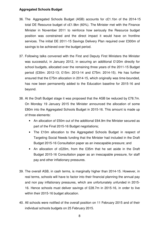# **Aggregated Schools Budget**

- 36. The Aggregated Schools Budget (ASB) accounts for c£1.1bn of the 2014-15 total DE Resource budget of c£1.9bn (60%). The Minister met with the Finance Minister in November 2011 to reinforce how seriously the Resource budget position was constrained and the direct impact it would have on frontline services. The initial DE 2011-15 Savings Delivery Plan required over £300m of savings to be achieved over the budget period.
- 37. Following talks convened with the First and Deputy First Ministers the Minister was successful, in January 2012, in securing an additional £120m directly for school budgets, allocated over the remaining three years of the 2011-15 Budget period (£30m: 2012-13; £15m: 2013-14 and £75m: 2014-15). He has further ensured that the £75m allocation in 2014-15, which originally was time-bounded, has now been permanently added to the Education baseline for 2015-16 and beyond.
- 38. At the Draft Budget stage it was proposed that the ASB be reduced by £78.7m. On Monday 19 January 2015 the Minister announced the allocation of some £80m into the Aggregated Schools Budget in 2015-16. This amount is made up of three elements:
	- An allocation of £50m out of the additional £64.9m the Minister secured as part of the Final 2015-16 Budget negotiations;
	- The £10m allocation to the Aggregated Schools Budget in respect of Targeting Social Needs funding that the Minister had included in the Draft Budget 2015-16 Consultation paper as an inescapable pressure; and
	- An allocation of c£20m, from the £35m that he set aside in the Draft Budget 2015-16 Consultation paper as an inescapable pressure, for staff pay and other inflationary pressures.
- 39. The overall ASB, in cash terms, is marginally higher than 2014-15. However, in real terms, schools will have to factor into their financial planning the annual pay and non pay inflationary pressures, which are unfortunately unfunded in 2015 16. Hence schools must deliver savings of £28.7m in 2015-16, in order to live within their 2015-16 budget allocation.
- 40. All schools were notified of the overall position on 11 February 2015 and of their individual schools budgets on 25 February 2015.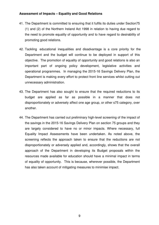# **Assessment of Impacts – Equality and Good Relations**

- 41. The Department is committed to ensuring that it fulfils its duties under Section75 (1) and (2) of the Northern Ireland Act 1998 in relation to having due regard to the need to promote equality of opportunity and to have regard to desirability of promoting good relations.
- 42. Tackling educational inequalities and disadvantage is a core priority for the Department and the budget will continue to be deployed in support of this objective. The promotion of equality of opportunity and good relations is also an important part of ongoing policy development, legislative activities and operational programmes. In managing the 2015-16 Savings Delivery Plan, the Department is making every effort to protect front line services whilst cutting out unnecessary administration.
- unnecessary administration. 43. The Department has also sought to ensure that the required reductions to its budget are applied as far as possible in a manner that does not disproportionately or adversely affect one age group, or other s75 category, over another.
- another.<br>44. The Department has carried out preliminary high-level screening of the impact of the savings in the 2015-16 Savings Delivery Plan on section 75 groups and they are largely considered to have no or minor impacts. Where necessary, full Equality Impact Assessments have been undertaken. As noted above, the screening reflects the approach taken to ensure that the reductions are not disproportionately or adversely applied and, accordingly, shows that the overall approach of the Department in developing its Budget proposals within the resources made available for education should have a minimal impact in terms of equality of opportunity. This is because, wherever possible, the Department has also taken account of mitigating measures to minimise impact.